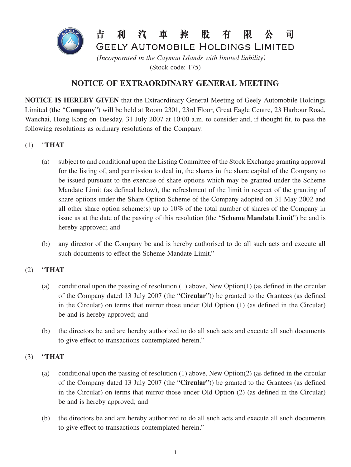

(Stock code: 175)

# **NOTICE OF EXTRAORDINARY GENERAL MEETING**

**NOTICE IS HEREBY GIVEN** that the Extraordinary General Meeting of Geely Automobile Holdings Limited (the "**Company**") will be held at Room 2301, 23rd Floor, Great Eagle Centre, 23 Harbour Road, Wanchai, Hong Kong on Tuesday, 31 July 2007 at 10:00 a.m. to consider and, if thought fit, to pass the following resolutions as ordinary resolutions of the Company:

- (1) "**THAT**
	- (a) subject to and conditional upon the Listing Committee of the Stock Exchange granting approval for the listing of, and permission to deal in, the shares in the share capital of the Company to be issued pursuant to the exercise of share options which may be granted under the Scheme Mandate Limit (as defined below), the refreshment of the limit in respect of the granting of share options under the Share Option Scheme of the Company adopted on 31 May 2002 and all other share option scheme(s) up to 10% of the total number of shares of the Company in issue as at the date of the passing of this resolution (the "**Scheme Mandate Limit**") be and is hereby approved; and
	- (b) any director of the Company be and is hereby authorised to do all such acts and execute all such documents to effect the Scheme Mandate Limit."

## (2) "**THAT**

- (a) conditional upon the passing of resolution (1) above, New Option(1) (as defined in the circular of the Company dated 13 July 2007 (the "**Circular**")) be granted to the Grantees (as defined in the Circular) on terms that mirror those under Old Option (1) (as defined in the Circular) be and is hereby approved; and
- (b) the directors be and are hereby authorized to do all such acts and execute all such documents to give effect to transactions contemplated herein."

## (3) "**THAT**

- (a) conditional upon the passing of resolution (1) above, New Option(2) (as defined in the circular of the Company dated 13 July 2007 (the "**Circular**")) be granted to the Grantees (as defined in the Circular) on terms that mirror those under Old Option (2) (as defined in the Circular) be and is hereby approved; and
- (b) the directors be and are hereby authorized to do all such acts and execute all such documents to give effect to transactions contemplated herein."